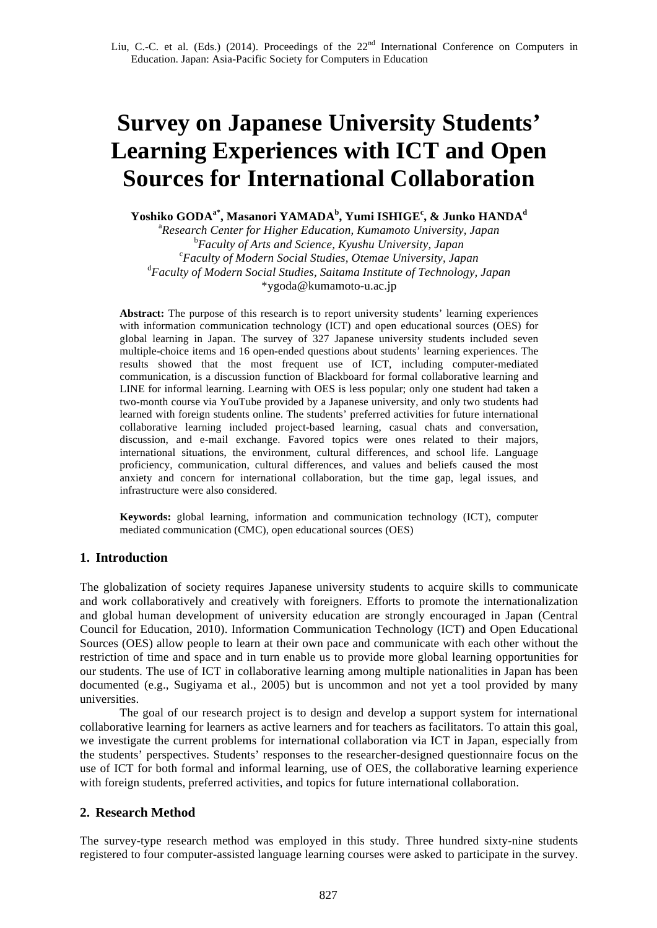# **Survey on Japanese University Students' Learning Experiences with ICT and Open Sources for International Collaboration**

 $\mathbf{Y}$ oshiko GODA $^{\mathbf{a}^*},$  Masanori YAMADA $^{\mathbf{b}},$  Yumi ISHIGE $^{\mathbf{c}},$  & Junko HANDA $^{\mathbf{d}}$ 

a *Research Center for Higher Education, Kumamoto University, Japan* <sup>b</sup> Faculty of Arts and Science, Kyushu University, Japan *Faculty of Modern Social Studies, Otemae University, Japan* d *Faculty of Modern Social Studies, Saitama Institute of Technology, Japan* \*ygoda@kumamoto-u.ac.jp

**Abstract:** The purpose of this research is to report university students' learning experiences with information communication technology (ICT) and open educational sources (OES) for global learning in Japan. The survey of 327 Japanese university students included seven multiple-choice items and 16 open-ended questions about students' learning experiences. The results showed that the most frequent use of ICT, including computer-mediated communication, is a discussion function of Blackboard for formal collaborative learning and LINE for informal learning. Learning with OES is less popular; only one student had taken a two-month course via YouTube provided by a Japanese university, and only two students had learned with foreign students online. The students' preferred activities for future international collaborative learning included project-based learning, casual chats and conversation, discussion, and e-mail exchange. Favored topics were ones related to their majors, international situations, the environment, cultural differences, and school life. Language proficiency, communication, cultural differences, and values and beliefs caused the most anxiety and concern for international collaboration, but the time gap, legal issues, and infrastructure were also considered.

**Keywords:** global learning, information and communication technology (ICT), computer mediated communication (CMC), open educational sources (OES)

## **1. Introduction**

The globalization of society requires Japanese university students to acquire skills to communicate and work collaboratively and creatively with foreigners. Efforts to promote the internationalization and global human development of university education are strongly encouraged in Japan (Central Council for Education, 2010). Information Communication Technology (ICT) and Open Educational Sources (OES) allow people to learn at their own pace and communicate with each other without the restriction of time and space and in turn enable us to provide more global learning opportunities for our students. The use of ICT in collaborative learning among multiple nationalities in Japan has been documented (e.g., Sugiyama et al., 2005) but is uncommon and not yet a tool provided by many universities.

The goal of our research project is to design and develop a support system for international collaborative learning for learners as active learners and for teachers as facilitators. To attain this goal, we investigate the current problems for international collaboration via ICT in Japan, especially from the students' perspectives. Students' responses to the researcher-designed questionnaire focus on the use of ICT for both formal and informal learning, use of OES, the collaborative learning experience with foreign students, preferred activities, and topics for future international collaboration.

## **2. Research Method**

The survey-type research method was employed in this study. Three hundred sixty-nine students registered to four computer-assisted language learning courses were asked to participate in the survey.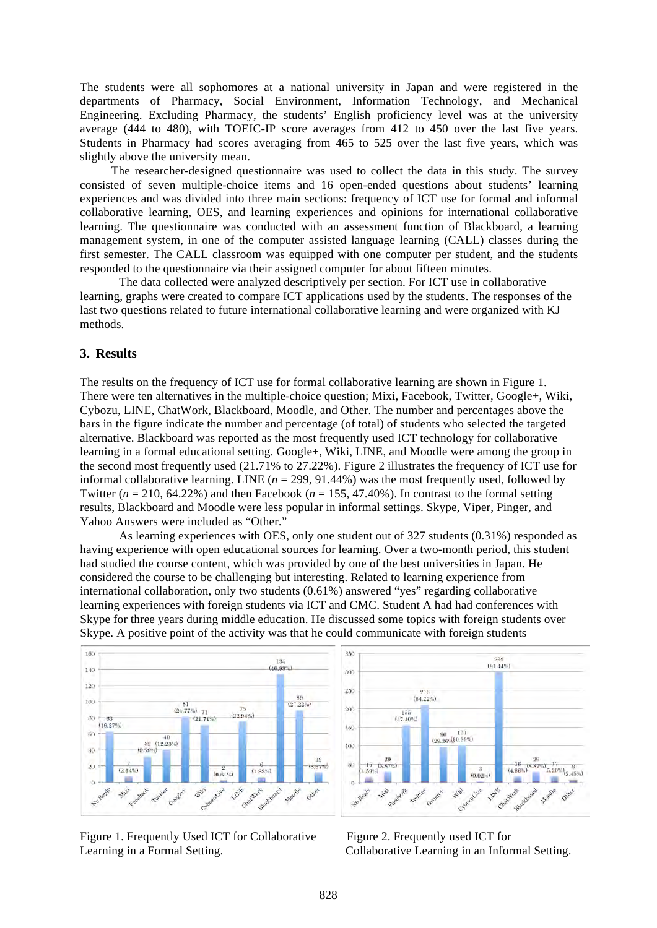The students were all sophomores at a national university in Japan and were registered in the departments of Pharmacy, Social Environment, Information Technology, and Mechanical Engineering. Excluding Pharmacy, the students' English proficiency level was at the university average (444 to 480), with TOEIC-IP score averages from 412 to 450 over the last five years. Students in Pharmacy had scores averaging from 465 to 525 over the last five years, which was slightly above the university mean.

The researcher-designed questionnaire was used to collect the data in this study. The survey consisted of seven multiple-choice items and 16 open-ended questions about students' learning experiences and was divided into three main sections: frequency of ICT use for formal and informal collaborative learning, OES, and learning experiences and opinions for international collaborative learning. The questionnaire was conducted with an assessment function of Blackboard, a learning management system, in one of the computer assisted language learning (CALL) classes during the first semester. The CALL classroom was equipped with one computer per student, and the students responded to the questionnaire via their assigned computer for about fifteen minutes.

The data collected were analyzed descriptively per section. For ICT use in collaborative learning, graphs were created to compare ICT applications used by the students. The responses of the last two questions related to future international collaborative learning and were organized with KJ methods.

### **3. Results**

The results on the frequency of ICT use for formal collaborative learning are shown in Figure 1. There were ten alternatives in the multiple-choice question; Mixi, Facebook, Twitter, Google+, Wiki, Cybozu, LINE, ChatWork, Blackboard, Moodle, and Other. The number and percentages above the bars in the figure indicate the number and percentage (of total) of students who selected the targeted alternative. Blackboard was reported as the most frequently used ICT technology for collaborative learning in a formal educational setting. Google+, Wiki, LINE, and Moodle were among the group in the second most frequently used (21.71% to 27.22%). Figure 2 illustrates the frequency of ICT use for informal collaborative learning. LINE  $(n = 299, 91.44\%)$  was the most frequently used, followed by Twitter ( $n = 210$ , 64.22%) and then Facebook ( $n = 155, 47.40$ %). In contrast to the formal setting results, Blackboard and Moodle were less popular in informal settings. Skype, Viper, Pinger, and Yahoo Answers were included as "Other."

As learning experiences with OES, only one student out of 327 students (0.31%) responded as having experience with open educational sources for learning. Over a two-month period, this student had studied the course content, which was provided by one of the best universities in Japan. He considered the course to be challenging but interesting. Related to learning experience from international collaboration, only two students (0.61%) answered "yes" regarding collaborative learning experiences with foreign students via ICT and CMC. Student A had had conferences with Skype for three years during middle education. He discussed some topics with foreign students over Skype. A positive point of the activity was that he could communicate with foreign students





Figure 1. Frequently Used ICT for Collaborative Figure 2. Frequently used ICT for Learning in a Formal Setting. Collaborative Learning in an Informal Setting.